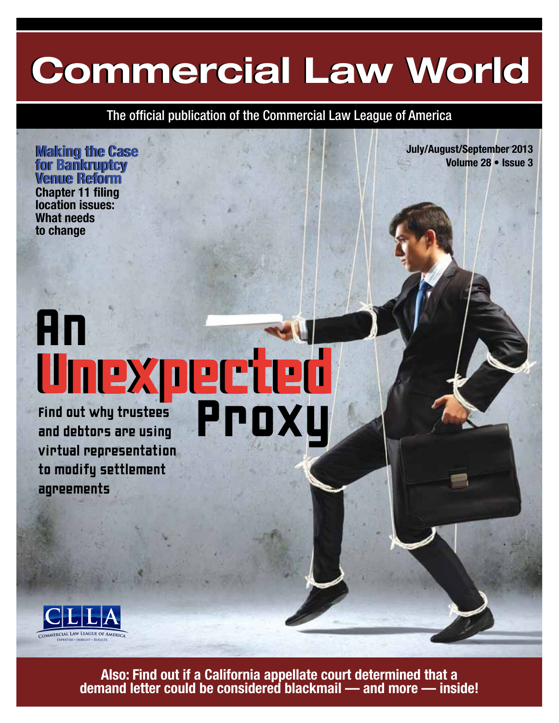## **Commercial Law World Commercial Law World**

The official publication of the Commercial Law League of America

**Making the Case Making the Case for Bankruptcy for Bankruptcy Venue Reform Venue Reform Chapter 11 filing location issues: What needs to change**

**July/August/September 2013 Volume 28 • Issue 3**

### An Unexpected Unexpected Find out why trustees<br>and debtors are using<br>virtual representatior and debtors are using Proxy

virtual representation to modify settlement agreements



**Also: Find out if a California appellate court determined that a demand letter could be considered blackmail — and more — inside!**